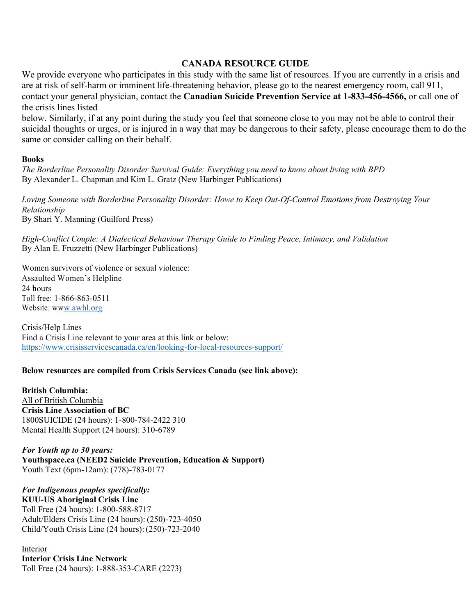# **CANADA RESOURCE GUIDE**

We provide everyone who participates in this study with the same list of resources. If you are currently in a crisis and are at risk of self-harm or imminent life-threatening behavior, please go to the nearest emergency room, call 911, contact your general physician, contact the **Canadian Suicide Prevention Service at 1-833-456-4566,** or call one of the crisis lines listed

below. Similarly, if at any point during the study you feel that someone close to you may not be able to control their suicidal thoughts or urges, or is injured in a way that may be dangerous to their safety, please encourage them to do the same or consider calling on their behalf.

## **Books**

*The Borderline Personality Disorder Survival Guide: Everything you need to know about living with BPD* By Alexander L. Chapman and Kim L. Gratz (New Harbinger Publications)

*Loving Someone with Borderline Personality Disorder: Howe to Keep Out-Of-Control Emotions from Destroying Your Relationship* By Shari Y. Manning (Guilford Press)

*High-Conflict Couple: A Dialectical Behaviour Therapy Guide to Finding Peace, Intimacy, and Validation* By Alan E. Fruzzetti (New Harbinger Publications)

Women survivors of violence or sexual violence: Assaulted Women's Helpline  $24$  hours Toll free: 1-866-863-0511 Website: w[ww.awhl.org](http://www.awhl.org/)

Crisis/Help Lines Find a Crisis Line relevant to your area at this link or below: <https://www.crisisservicescanada.ca/en/looking-for-local-resources-support/>

## **Below resources are compiled from Crisis Services Canada (see link above):**

**British Columbia:** All of British Columbia **Crisis Line Association of BC** 1800SUICIDE (24 hours): 1-800-784-2422 310 Mental Health Support (24 hours): 310-6789

*For Youth up to 30 years:* **Youthspace.ca (NEED2 Suicide Prevention, Education & Support)** Youth Text (6pm-12am): (778)-783-0177

*For Indigenous peoples specifically:* **KUU-US Aboriginal Crisis Line** Toll Free (24 hours): 1-800-588-8717 Adult/Elders Crisis Line (24 hours): (250)-723-4050 Child/Youth Crisis Line (24 hours):(250)-723-2040

Interior **Interior Crisis Line Network** Toll Free (24 hours): 1-888-353-CARE (2273)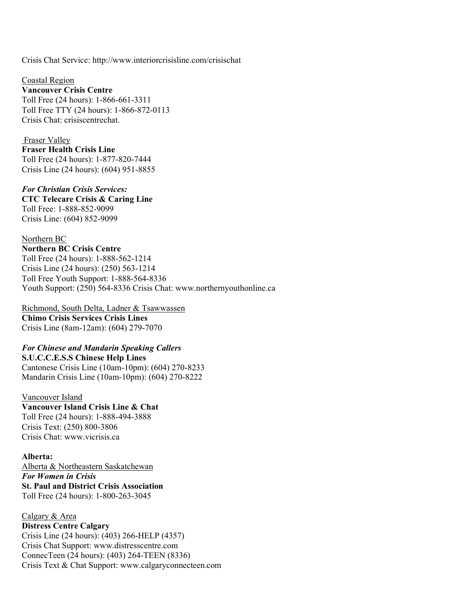Crisis Chat Servic[e: http://www.interiorcrisisline.com/crisischat](http://www.interiorcrisisline.com/crisischat)

Coastal Region **Vancouver Crisis Centre** Toll Free (24 hours): 1-866-661-3311 Toll Free TTY (24 hours): 1-866-872-0113 Crisis Chat: crisiscentrechat.

Fraser Valley **Fraser Health Crisis Line** Toll Free (24 hours): 1-877-820-7444 Crisis Line (24 hours): (604) 951-8855

*For Christian Crisis Services:* **CTC Telecare Crisis & Caring Line** Toll Free: 1-888-852-9099 Crisis Line: (604) 852-9099

Northern BC **Northern BC Crisis Centre** Toll Free (24 hours): 1-888-562-1214 Crisis Line (24 hours): (250) 563-1214 Toll Free Youth Support: 1-888-564-8336 Youth Support:  $(250)$  564-8336 Crisis Chat: [www.northernyouthonline.ca](http://www.northernyouthonline.ca/)

Richmond, South Delta, Ladner & Tsawwassen **Chimo Crisis Services Crisis Lines** Crisis Line (8am-12am): (604) 279-7070

# *For Chinese and Mandarin Speaking Callers*

**S.U.C.C.E.S.S Chinese Help Lines** Cantonese Crisis Line (10am-10pm): (604) 270-8233 Mandarin Crisis Line (10am-10pm): (604) 270-8222

Vancouver Island **Vancouver Island Crisis Line & Chat** Toll Free (24 hours): 1-888-494-3888 Crisis Text: (250) 800-3806 Crisis Chat: [www.vicrisis.ca](http://www.vicrisis.ca/)

## **Alberta:**

Alberta & Northeastern Saskatchewan *For Women in Crisis* **St. Paul and District Crisis Association** Toll Free (24 hours): 1-800-263-3045

Calgary & Area **Distress Centre Calgary** Crisis Line (24 hours): (403) 266-HELP (4357) Crisis Chat Support: [www.distresscentre.com](http://www.distresscentre.com/) ConnecTeen (24 hours): (403) 264-TEEN (8336) Crisis Text & Chat Support: [www.calgaryconnecteen.com](http://www.calgaryconnecteen.com/)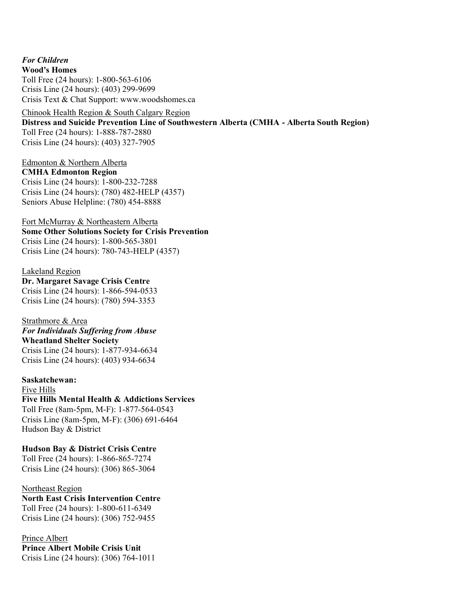*For Children* **Wood's Homes** Toll Free (24 hours): 1-800-563-6106 Crisis Line (24 hours): (403) 299-9699 Crisis Text & Chat Support: [www.woodshomes.ca](http://www.woodshomes.ca/)

Chinook Health Region & South Calgary Region **Distress and Suicide Prevention Line of Southwestern Alberta (CMHA - Alberta South Region)** Toll Free (24 hours): 1-888-787-2880 Crisis Line (24 hours): (403) 327-7905

Edmonton & Northern Alberta **CMHA Edmonton Region** Crisis Line (24 hours): 1-800-232-7288 Crisis Line (24 hours): (780) 482-HELP (4357) Seniors Abuse Helpline: (780) 454-8888

Fort McMurray & Northeastern Alberta **Some Other Solutions Society for Crisis Prevention** Crisis Line (24 hours): 1-800-565-3801 Crisis Line (24 hours): 780-743-HELP (4357)

Lakeland Region **Dr. Margaret Savage Crisis Centre** Crisis Line (24 hours): 1-866-594-0533 Crisis Line (24 hours): (780) 594-3353

Strathmore & Area *For Individuals Suffering from Abuse* **Wheatland Shelter Society** Crisis Line (24 hours): 1-877-934-6634 Crisis Line (24 hours): (403) 934-6634

**Saskatchewan:** Five Hills **Five Hills Mental Health & Addictions Services** Toll Free (8am-5pm, M-F): 1-877-564-0543 Crisis Line (8am-5pm, M-F): (306) 691-6464 Hudson Bay & District

**Hudson Bay & District Crisis Centre** Toll Free (24 hours): 1-866-865-7274 Crisis Line (24 hours): (306) 865-3064

Northeast Region **North East Crisis Intervention Centre** Toll Free (24 hours): 1-800-611-6349 Crisis Line (24 hours): (306) 752-9455

Prince Albert **Prince Albert Mobile Crisis Unit** Crisis Line (24 hours): (306) 764-1011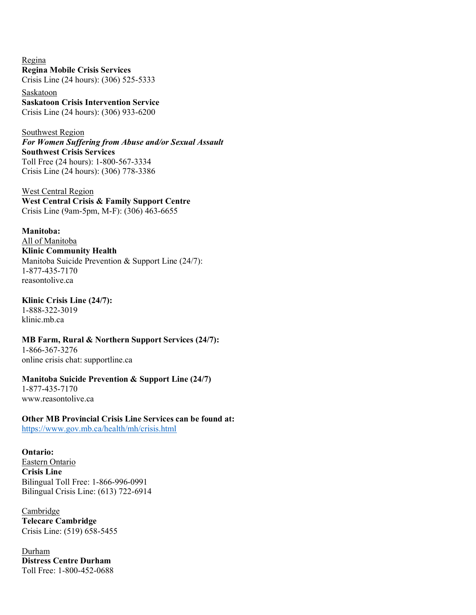Regina **Regina Mobile Crisis Services** Crisis Line (24 hours): (306) 525-5333

Saskatoon **Saskatoon Crisis Intervention Service** Crisis Line (24 hours): (306) 933-6200

Southwest Region *For Women Suffering from Abuse and/or Sexual Assault* **Southwest Crisis Services** Toll Free (24 hours): 1-800-567-3334 Crisis Line (24 hours): (306) 778-3386

West Central Region **West Central Crisis & Family Support Centre** Crisis Line (9am-5pm, M-F): (306) 463-6655

**Manitoba:** All of Manitoba **Klinic Community Health** Manitoba Suicide Prevention & Support Line (24/7): 1-877-435-7170 reasontolive.ca

**Klinic Crisis Line (24/7):** 1-888-322-3019 klinic.mb.ca

**MB Farm, Rural & Northern Support Services (24/7):** 1-866-367-3276 online crisis chat: supportline.ca

**Manitoba Suicide Prevention & Support Line (24/7)** 1-877-435-7170 [www.reasontolive.ca](http://www.reasontolive.ca/)

**Other MB Provincial Crisis Line Services can be found at:**

<https://www.gov.mb.ca/health/mh/crisis.html>

**Ontario:** Eastern Ontario **Crisis Line** Bilingual Toll Free: 1-866-996-0991 Bilingual Crisis Line: (613) 722-6914

**Cambridge Telecare Cambridge** Crisis Line: (519) 658-5455

Durham **Distress Centre Durham** Toll Free: 1-800-452-0688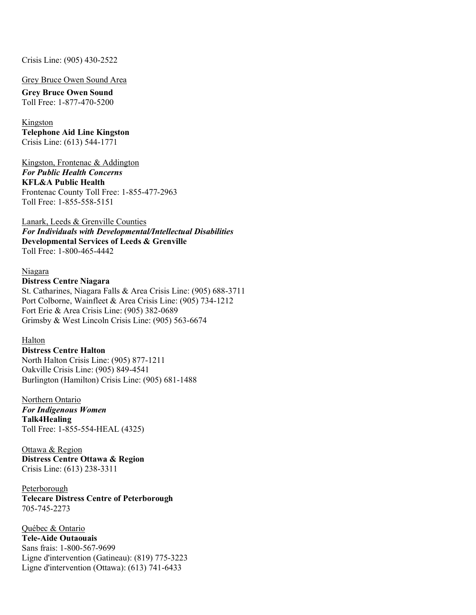## Crisis Line: (905) 430-2522

#### Grey Bruce Owen Sound Area

**Grey Bruce Owen Sound** Toll Free: 1-877-470-5200

#### Kingston

**Telephone Aid Line Kingston** Crisis Line: (613) 544-1771

Kingston, Frontenac & Addington *For Public Health Concerns*  **KFL&A Public Health** Frontenac County Toll Free: 1-855-477-2963 Toll Free: 1-855-558-5151

#### Lanark, Leeds & Grenville Counties

*For Individuals with Developmental/Intellectual Disabilities* **Developmental Services of Leeds & Grenville** Toll Free: 1-800-465-4442

#### Niagara

#### **Distress Centre Niagara**

St. Catharines, Niagara Falls & Area Crisis Line: (905) 688-3711 Port Colborne, Wainfleet & Area Crisis Line: (905) 734-1212 Fort Erie & Area Crisis Line: (905) 382-0689 Grimsby & West Lincoln Crisis Line: (905) 563-6674

#### Halton

**Distress Centre Halton** North Halton Crisis Line: (905) 877-1211 Oakville Crisis Line: (905) 849-4541 Burlington (Hamilton) Crisis Line: (905) 681-1488

Northern Ontario *For Indigenous Women* **Talk4Healing** Toll Free: 1-855-554-HEAL (4325)

Ottawa & Region **Distress Centre Ottawa & Region** Crisis Line: (613) 238-3311

Peterborough **Telecare Distress Centre of Peterborough** 705-745-2273

Québec & Ontario **Tele-Aide Outaouais** Sans frais: 1-800-567-9699 Ligne d'intervention (Gatineau): (819) 775-3223 Ligne d'intervention (Ottawa): (613) 741-6433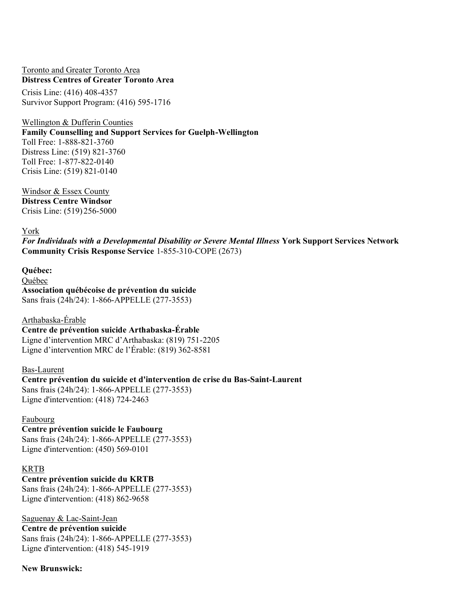## Toronto and Greater Toronto Area **Distress Centres of Greater Toronto Area**

Crisis Line: (416) 408-4357 Survivor Support Program: (416) 595-1716

Wellington & Dufferin Counties

**Family Counselling and Support Services for Guelph-Wellington**

Toll Free: 1-888-821-3760 Distress Line: (519) 821-3760 Toll Free: 1-877-822-0140 Crisis Line: (519) 821-0140

Windsor & Essex County **Distress Centre Windsor**  Crisis Line: (519) 256-5000

# York

*For Individuals with a Developmental Disability or Severe Mental Illness* **York Support Services Network Community Crisis Response Service** 1-855-310-COPE (2673)

**Québec:** Québec **Association québécoise de prévention du suicide** Sans frais (24h/24): 1-866-APPELLE (277-3553)

Arthabaska-Érable **Centre de prévention suicide Arthabaska-Érable**  Ligne d'intervention MRC d'Arthabaska: (819) 751-2205 Ligne d'intervention MRC de l'Érable:  $(819)$  362-8581

## Bas-Laurent

**Centre prévention du suicide et d'intervention de crise du Bas-Saint-Laurent** Sans frais (24h/24): 1-866-APPELLE (277-3553) Ligne d'intervention: (418) 724-2463

## Faubourg

**Centre prévention suicide le Faubourg** Sans frais (24h/24): 1-866-APPELLE (277-3553) Ligne d'intervention: (450) 569-0101

## KRTB

**Centre prévention suicide du KRTB** Sans frais (24h/24): 1-866-APPELLE (277-3553) Ligne d'intervention: (418) 862-9658

Saguenay & Lac-Saint-Jean **Centre de prévention suicide**

Sans frais (24h/24): 1-866-APPELLE (277-3553) Ligne d'intervention: (418) 545-1919

**New Brunswick:**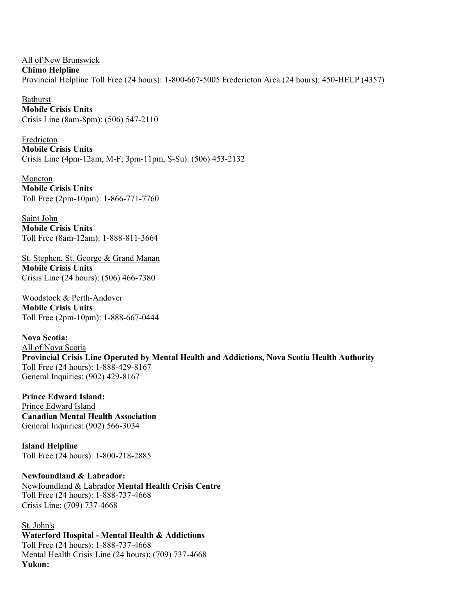All of New Brunswick **Chimo Helpline** Provincial Helpline Toll Free (24 hours): 1-800-667-5005 Fredericton Area (24 hours): 450-HELP (4357)

Bathurst **Mobile Crisis Units** Crisis Line (8am-8pm): (506) 547-2110

Fredricton **Mobile Crisis Units** Crisis Line (4pm-12am, M-F; 3pm-11pm, S-Su): (506) 453-2132

Moncton **Mobile Crisis Units** Toll Free (2pm-10pm): 1-866-771-7760

Saint John **Mobile Crisis Units** Toll Free (8am-12am): 1-888-811-3664

St. Stephen, St. George & Grand Manan **Mobile Crisis Units** Crisis Line (24 hours): (506) 466-7380

Woodstock & Perth-Andover **Mobile Crisis Units** Toll Free (2pm-10pm): 1-888-667-0444

**Nova Scotia:** All of Nova Scotia **Provincial Crisis Line Operated by Mental Health and Addictions, Nova Scotia Health Authority** Toll Free (24 hours): 1-888-429-8167 General Inquiries: (902) 429-8167

**Prince Edward Island:** Prince Edward Island **Canadian Mental Health Association** General Inquiries: (902) 566-3034

**Island Helpline** Toll Free (24 hours): 1-800-218-2885

**Newfoundland & Labrador:**  Newfoundland & Labrador **Mental Health Crisis Centre** Toll Free (24 hours): 1-888-737-4668 Crisis Line: (709) 737-4668

St. John's **Waterford Hospital - Mental Health & Addictions** Toll Free (24 hours): 1-888-737-4668 Mental Health Crisis Line (24 hours): (709) 737-4668 **Yukon:**